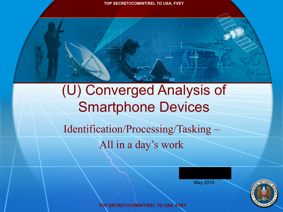### (U) Converged Analysis of Smartphone Devices

Identification/Processing/Tasking – All in a day's work

May 2010



**TOP SECRET//COMINT/REL TO USA, FVEY**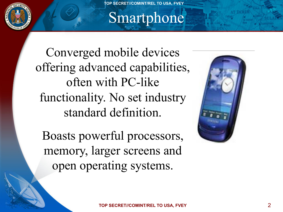

#### Smartphone

Converged mobile devices offering advanced capabilities, often with PC-like functionality. No set industry standard definition.

Boasts powerful processors, memory, larger screens and open operating systems.

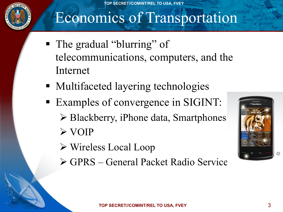

#### Economics of Transportation

- The gradual "blurring" of telecommunications, computers, and the Internet
- Multifaceted layering technologies
- Examples of convergence in SIGINT:  $\triangleright$  Blackberry, iPhone data, Smartphones  $\triangleright$  VOIP
	- $\triangleright$  Wireless Local Loop
	- " GPRS General Packet Radio Service

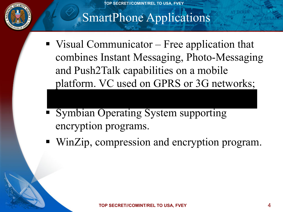

#### SmartPhone Applications

- $\blacksquare$  Visual Communicator Free application that combines Instant Messaging, Photo-Messaging and Push2Talk capabilities on a mobile platform. VC used on GPRS or 3G networks;
- **Example Symbian Operating System supporting** encryption programs.
- ! WinZip, compression and encryption program.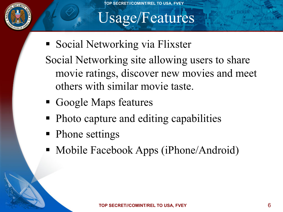

#### Usage/Features

- **Exercise I** Social Networking via Flixster Social Networking site allowing users to share movie ratings, discover new movies and meet others with similar movie taste.
- ! Google Maps features
- ! Photo capture and editing capabilities
- Phone settings
- Mobile Facebook Apps (iPhone/Android)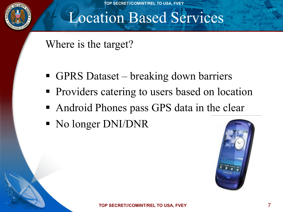

#### Location Based Services

Where is the target?

- ! GPRS Dataset breaking down barriers
- **Providers catering to users based on location**
- Android Phones pass GPS data in the clear
- No longer DNI/DNR

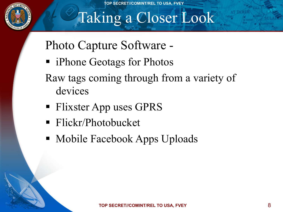

# Taking a Closer Look

Photo Capture Software -

- iPhone Geotags for Photos
- Raw tags coming through from a variety of devices
- Flixster App uses GPRS
- ! Flickr/Photobucket
- Mobile Facebook Apps Uploads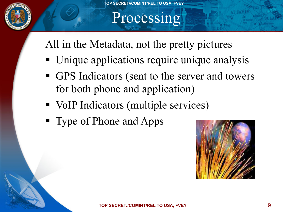

#### Processing

All in the Metadata, not the pretty pictures

- Unique applications require unique analysis
- ! GPS Indicators (sent to the server and towers for both phone and application)
- VoIP Indicators (multiple services)
- ! Type of Phone and Apps

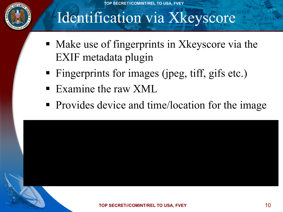

### Identification via Xkeyscore

- ! Make use of fingerprints in Xkeyscore via the EXIF metadata plugin
- ! Fingerprints for images (jpeg, tiff, gifs etc.)
- **Examine the raw XML**
- Provides device and time/location for the image

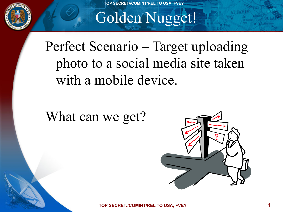

# Golden Nugget!

Perfect Scenario – Target uploading photo to a social media site taken with a mobile device.

What can we get?



**TOP SECRET//COMINT/REL TO USA, FVEY**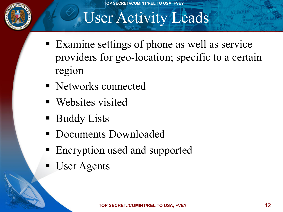

### User Activity Leads

- ! Examine settings of phone as well as service providers for geo-location; specific to a certain region
- ! Networks connected
- **•** Websites visited
- **Buddy Lists**
- **Documents Downloaded**
- Encryption used and supported
- **User Agents**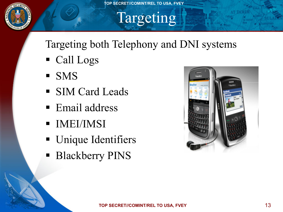

## Targeting

#### Targeting both Telephony and DNI systems

- Call Logs
- ! SMS
- **SIM Card Leads**
- Email address
- ! IMEI/IMSI
- **Unique Identifiers**
- **Blackberry PINS**

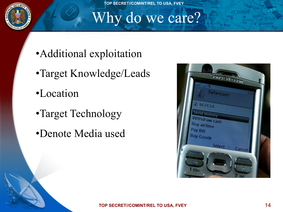

#### Why do we care?

- •Additional exploitation
- •Target Knowledge/Leads
- •Location
- •Target Technology
- •Denote Media used